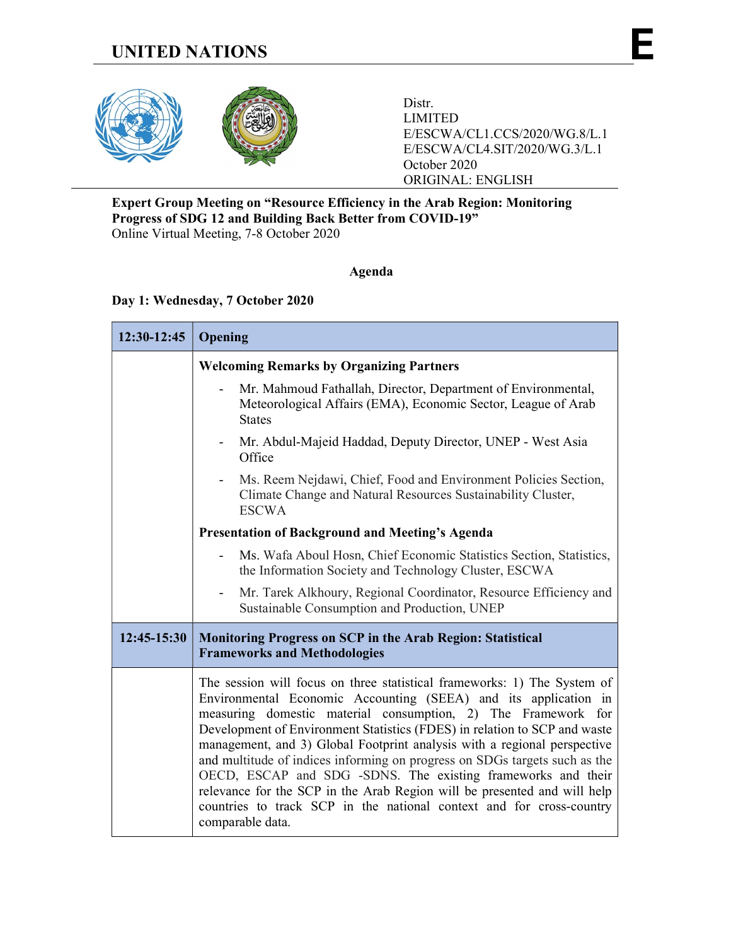

Distr. LIMITED E/ESCWA/CL1.CCS/2020/WG.8/L.1 E/ESCWA/CL4.SIT/2020/WG.3/L.1 October 2020 ORIGINAL: ENGLISH

### Expert Group Meeting on "Resource Efficiency in the Arab Region: Monitoring Progress of SDG 12 and Building Back Better from COVID-19" Online Virtual Meeting, 7-8 October 2020

# Agenda

## Day 1: Wednesday, 7 October 2020

| 12:30-12:45 | Opening                                                                                                                                                                                                                                                                                                                                                                                                                                                                                                                                                                                                                                                                                     |  |  |
|-------------|---------------------------------------------------------------------------------------------------------------------------------------------------------------------------------------------------------------------------------------------------------------------------------------------------------------------------------------------------------------------------------------------------------------------------------------------------------------------------------------------------------------------------------------------------------------------------------------------------------------------------------------------------------------------------------------------|--|--|
|             | <b>Welcoming Remarks by Organizing Partners</b>                                                                                                                                                                                                                                                                                                                                                                                                                                                                                                                                                                                                                                             |  |  |
|             | Mr. Mahmoud Fathallah, Director, Department of Environmental,<br>$\frac{1}{2}$<br>Meteorological Affairs (EMA), Economic Sector, League of Arab<br><b>States</b>                                                                                                                                                                                                                                                                                                                                                                                                                                                                                                                            |  |  |
|             | Mr. Abdul-Majeid Haddad, Deputy Director, UNEP - West Asia<br>$\overline{\phantom{0}}$<br>Office                                                                                                                                                                                                                                                                                                                                                                                                                                                                                                                                                                                            |  |  |
|             | Ms. Reem Nejdawi, Chief, Food and Environment Policies Section,<br>L,<br>Climate Change and Natural Resources Sustainability Cluster,<br><b>ESCWA</b>                                                                                                                                                                                                                                                                                                                                                                                                                                                                                                                                       |  |  |
|             | <b>Presentation of Background and Meeting's Agenda</b>                                                                                                                                                                                                                                                                                                                                                                                                                                                                                                                                                                                                                                      |  |  |
|             | Ms. Wafa Aboul Hosn, Chief Economic Statistics Section, Statistics,<br>$\qquad \qquad \blacksquare$<br>the Information Society and Technology Cluster, ESCWA                                                                                                                                                                                                                                                                                                                                                                                                                                                                                                                                |  |  |
|             | Mr. Tarek Alkhoury, Regional Coordinator, Resource Efficiency and<br>$\overline{\phantom{0}}$<br>Sustainable Consumption and Production, UNEP                                                                                                                                                                                                                                                                                                                                                                                                                                                                                                                                               |  |  |
| 12:45-15:30 | <b>Monitoring Progress on SCP in the Arab Region: Statistical</b><br><b>Frameworks and Methodologies</b>                                                                                                                                                                                                                                                                                                                                                                                                                                                                                                                                                                                    |  |  |
|             | The session will focus on three statistical frameworks: 1) The System of<br>Environmental Economic Accounting (SEEA) and its application in<br>measuring domestic material consumption, 2) The Framework for<br>Development of Environment Statistics (FDES) in relation to SCP and waste<br>management, and 3) Global Footprint analysis with a regional perspective<br>and multitude of indices informing on progress on SDGs targets such as the<br>OECD, ESCAP and SDG -SDNS. The existing frameworks and their<br>relevance for the SCP in the Arab Region will be presented and will help<br>countries to track SCP in the national context and for cross-country<br>comparable data. |  |  |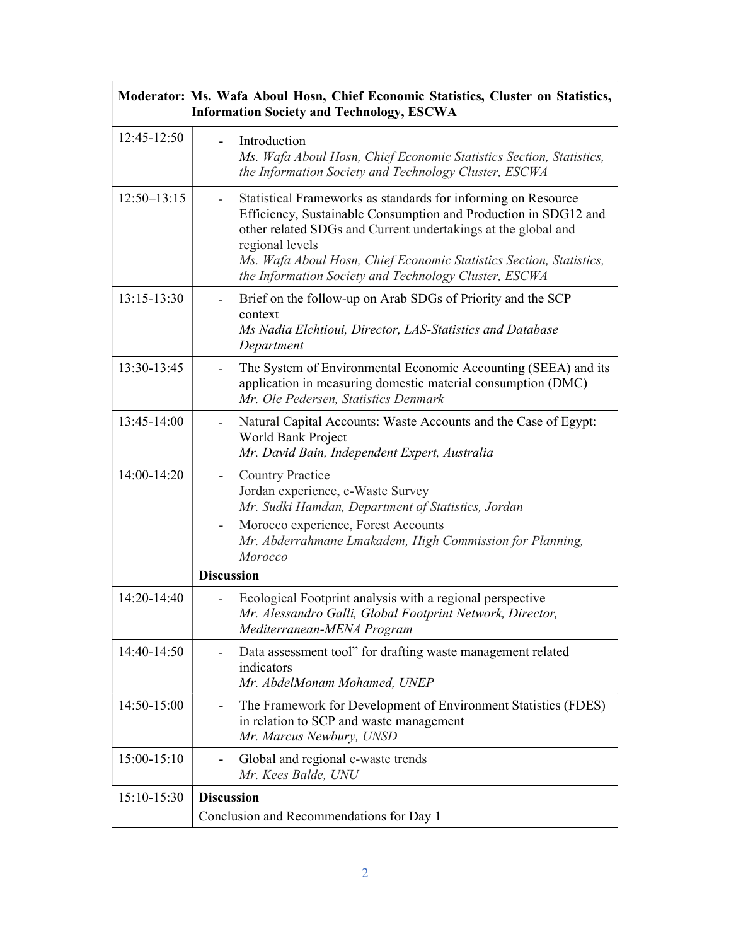| Moderator: Ms. Wafa Aboul Hosn, Chief Economic Statistics, Cluster on Statistics,<br><b>Information Society and Technology, ESCWA</b> |                                                                                                                                                                                                                                                                                                                                                      |  |
|---------------------------------------------------------------------------------------------------------------------------------------|------------------------------------------------------------------------------------------------------------------------------------------------------------------------------------------------------------------------------------------------------------------------------------------------------------------------------------------------------|--|
| 12:45-12:50                                                                                                                           | Introduction<br>Ms. Wafa Aboul Hosn, Chief Economic Statistics Section, Statistics,<br>the Information Society and Technology Cluster, ESCWA                                                                                                                                                                                                         |  |
| $12:50 - 13:15$                                                                                                                       | Statistical Frameworks as standards for informing on Resource<br>Efficiency, Sustainable Consumption and Production in SDG12 and<br>other related SDGs and Current undertakings at the global and<br>regional levels<br>Ms. Wafa Aboul Hosn, Chief Economic Statistics Section, Statistics,<br>the Information Society and Technology Cluster, ESCWA |  |
| 13:15-13:30                                                                                                                           | Brief on the follow-up on Arab SDGs of Priority and the SCP<br>context<br>Ms Nadia Elchtioui, Director, LAS-Statistics and Database<br>Department                                                                                                                                                                                                    |  |
| 13:30-13:45                                                                                                                           | The System of Environmental Economic Accounting (SEEA) and its<br>application in measuring domestic material consumption (DMC)<br>Mr. Ole Pedersen, Statistics Denmark                                                                                                                                                                               |  |
| 13:45-14:00                                                                                                                           | Natural Capital Accounts: Waste Accounts and the Case of Egypt:<br>World Bank Project<br>Mr. David Bain, Independent Expert, Australia                                                                                                                                                                                                               |  |
| 14:00-14:20                                                                                                                           | <b>Country Practice</b><br>Jordan experience, e-Waste Survey<br>Mr. Sudki Hamdan, Department of Statistics, Jordan<br>Morocco experience, Forest Accounts<br>Mr. Abderrahmane Lmakadem, High Commission for Planning,<br>Morocco                                                                                                                     |  |
|                                                                                                                                       | <b>Discussion</b>                                                                                                                                                                                                                                                                                                                                    |  |
| 14:20-14:40                                                                                                                           | Ecological Footprint analysis with a regional perspective<br>Mr. Alessandro Galli, Global Footprint Network, Director,<br>Mediterranean-MENA Program                                                                                                                                                                                                 |  |
| 14:40-14:50                                                                                                                           | Data assessment tool" for drafting waste management related<br>indicators<br>Mr. AbdelMonam Mohamed. UNEP                                                                                                                                                                                                                                            |  |
| 14:50-15:00                                                                                                                           | The Framework for Development of Environment Statistics (FDES)<br>in relation to SCP and waste management<br>Mr. Marcus Newbury, UNSD                                                                                                                                                                                                                |  |
| 15:00-15:10                                                                                                                           | Global and regional e-waste trends<br>Mr. Kees Balde, UNU                                                                                                                                                                                                                                                                                            |  |
| 15:10-15:30                                                                                                                           | <b>Discussion</b><br>Conclusion and Recommendations for Day 1                                                                                                                                                                                                                                                                                        |  |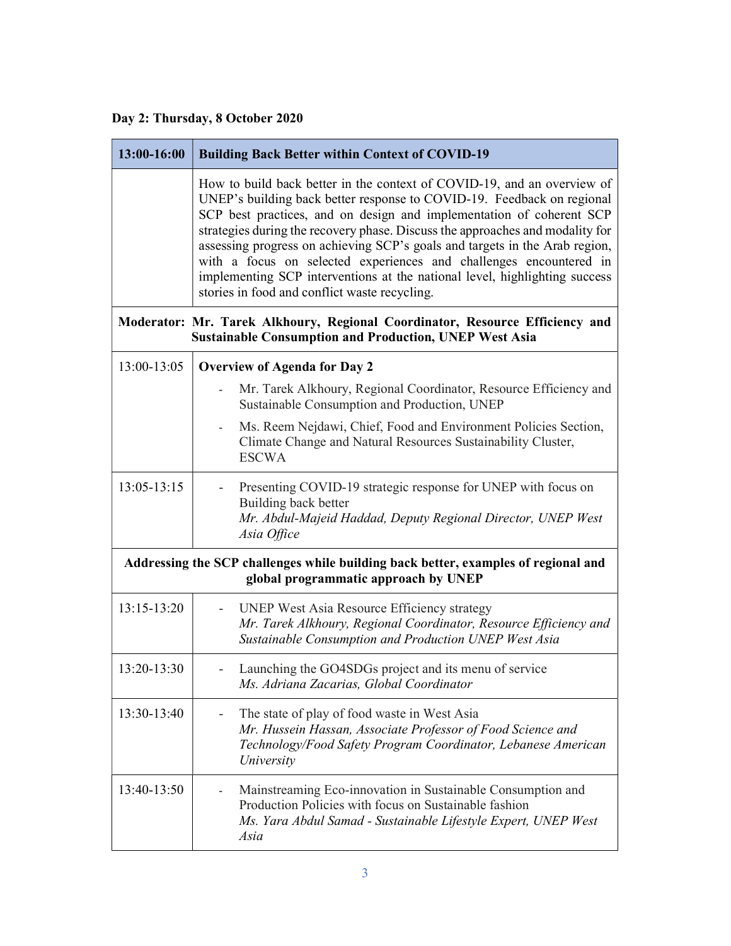# Day 2: Thursday, 8 October 2020

| 13:00-16:00                                                                                                                | <b>Building Back Better within Context of COVID-19</b>                                                                                                                                                                                                                                                                                                                                                                                                                                                                                                                                         |  |
|----------------------------------------------------------------------------------------------------------------------------|------------------------------------------------------------------------------------------------------------------------------------------------------------------------------------------------------------------------------------------------------------------------------------------------------------------------------------------------------------------------------------------------------------------------------------------------------------------------------------------------------------------------------------------------------------------------------------------------|--|
|                                                                                                                            | How to build back better in the context of COVID-19, and an overview of<br>UNEP's building back better response to COVID-19. Feedback on regional<br>SCP best practices, and on design and implementation of coherent SCP<br>strategies during the recovery phase. Discuss the approaches and modality for<br>assessing progress on achieving SCP's goals and targets in the Arab region,<br>with a focus on selected experiences and challenges encountered in<br>implementing SCP interventions at the national level, highlighting success<br>stories in food and conflict waste recycling. |  |
|                                                                                                                            | Moderator: Mr. Tarek Alkhoury, Regional Coordinator, Resource Efficiency and<br><b>Sustainable Consumption and Production, UNEP West Asia</b>                                                                                                                                                                                                                                                                                                                                                                                                                                                  |  |
| 13:00-13:05                                                                                                                | <b>Overview of Agenda for Day 2</b>                                                                                                                                                                                                                                                                                                                                                                                                                                                                                                                                                            |  |
|                                                                                                                            | Mr. Tarek Alkhoury, Regional Coordinator, Resource Efficiency and<br>Sustainable Consumption and Production, UNEP                                                                                                                                                                                                                                                                                                                                                                                                                                                                              |  |
|                                                                                                                            | Ms. Reem Nejdawi, Chief, Food and Environment Policies Section,<br>$\overline{\phantom{0}}$<br>Climate Change and Natural Resources Sustainability Cluster,<br><b>ESCWA</b>                                                                                                                                                                                                                                                                                                                                                                                                                    |  |
| 13:05-13:15                                                                                                                | Presenting COVID-19 strategic response for UNEP with focus on<br>Building back better<br>Mr. Abdul-Majeid Haddad, Deputy Regional Director, UNEP West<br>Asia Office                                                                                                                                                                                                                                                                                                                                                                                                                           |  |
| Addressing the SCP challenges while building back better, examples of regional and<br>global programmatic approach by UNEP |                                                                                                                                                                                                                                                                                                                                                                                                                                                                                                                                                                                                |  |
| 13:15-13:20                                                                                                                | <b>UNEP West Asia Resource Efficiency strategy</b><br>Mr. Tarek Alkhoury, Regional Coordinator, Resource Efficiency and<br>Sustainable Consumption and Production UNEP West Asia                                                                                                                                                                                                                                                                                                                                                                                                               |  |
| 13:20-13:30                                                                                                                | Launching the GO4SDGs project and its menu of service<br>Ms. Adriana Zacarias, Global Coordinator                                                                                                                                                                                                                                                                                                                                                                                                                                                                                              |  |
| 13:30-13:40                                                                                                                | The state of play of food waste in West Asia<br>Mr. Hussein Hassan, Associate Professor of Food Science and<br>Technology/Food Safety Program Coordinator, Lebanese American<br>University                                                                                                                                                                                                                                                                                                                                                                                                     |  |
| 13:40-13:50                                                                                                                | Mainstreaming Eco-innovation in Sustainable Consumption and<br>Production Policies with focus on Sustainable fashion<br>Ms. Yara Abdul Samad - Sustainable Lifestyle Expert, UNEP West<br>Asia                                                                                                                                                                                                                                                                                                                                                                                                 |  |